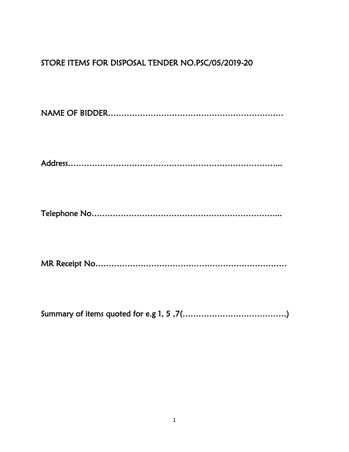## STORE ITEMS FOR DISPOSAL TENDER NO.PSC/05/2019-20

NAME OF BIDDER…………………………………………………………

Address……………………………………………………………………...

Telephone No……………………………………………………………...

MR Receipt No………………………………………………………………

Summary of items quoted for e.g 1, 5 ,7(…………………………………)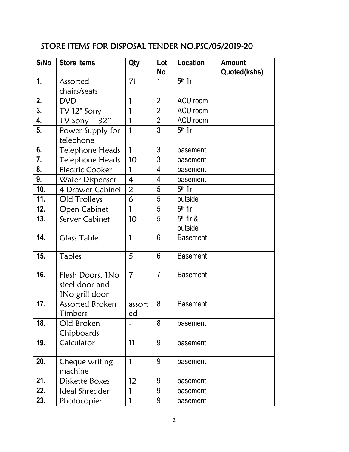## STORE ITEMS FOR DISPOSAL TENDER NO.PSC/05/2019-20

| S/No           | <b>Store Items</b>                                   | Qty            | Lot            | Location        | <b>Amount</b> |
|----------------|------------------------------------------------------|----------------|----------------|-----------------|---------------|
|                |                                                      |                | No             |                 | Quoted(kshs)  |
| $\mathbf{1}$ . | Assorted                                             | 71             | 1              | $5th$ flr       |               |
|                | chairs/seats                                         |                |                |                 |               |
| 2.             | <b>DVD</b>                                           | $\mathbf{1}$   | $\overline{2}$ | ACU room        |               |
| 3.             | TV 12" Sony                                          | $\mathbf{1}$   | $\overline{2}$ | ACU room        |               |
| 4.             | TV Sony $\overline{32"}$                             | $\mathbf{1}$   | $\overline{2}$ | ACU room        |               |
| 5.             | Power Supply for<br>telephone                        | $\mathbf{1}$   | 3              | $5th$ fir       |               |
| 6.             | Telephone Heads                                      | $\mathbf{1}$   | 3              | basement        |               |
| 7.             | <b>Telephone Heads</b>                               | 10             | 3              | basement        |               |
| 8.             | <b>Electric Cooker</b>                               | 1              | $\overline{4}$ | basement        |               |
| 9.             | Water Dispenser                                      | $\overline{4}$ | $\overline{4}$ | basement        |               |
| 10.            | 4 Drawer Cabinet                                     | $\overline{2}$ | 5              | $5th$ flr       |               |
| 11.            | Old Trolleys                                         | 6              | 5              | outside         |               |
| 12.            | Open Cabinet                                         | 1              | 5              | $5th$ fir       |               |
| 13.            | Server Cabinet                                       | 10             | 5              | $5th$ flr &     |               |
|                |                                                      |                |                | outside         |               |
| 14.            | <b>Glass Table</b>                                   | $\mathbf{1}$   | 6              | <b>Basement</b> |               |
| 15.            | Tables                                               | 5              | 6              | <b>Basement</b> |               |
| 16.            | Flash Doors, 1No<br>steel door and<br>1No grill door | $\overline{7}$ | $\overline{7}$ | <b>Basement</b> |               |
| 17.            | <b>Assorted Broken</b><br>Timbers                    | assort<br>ed   | 8              | <b>Basement</b> |               |
| 18.            | Old Broken<br>Chipboards                             |                | 8              | basement        |               |
| 19.            | Calculator                                           | 11             | 9              | basement        |               |
| 20.            | Cheque writing<br>machine                            | 1              | 9              | basement        |               |
| 21.            | Diskette Boxes                                       | 12             | 9              | basement        |               |
| 22.            | Ideal Shredder                                       | 1              | 9              | basement        |               |
| 23.            | Photocopier                                          | 1              | 9              | basement        |               |